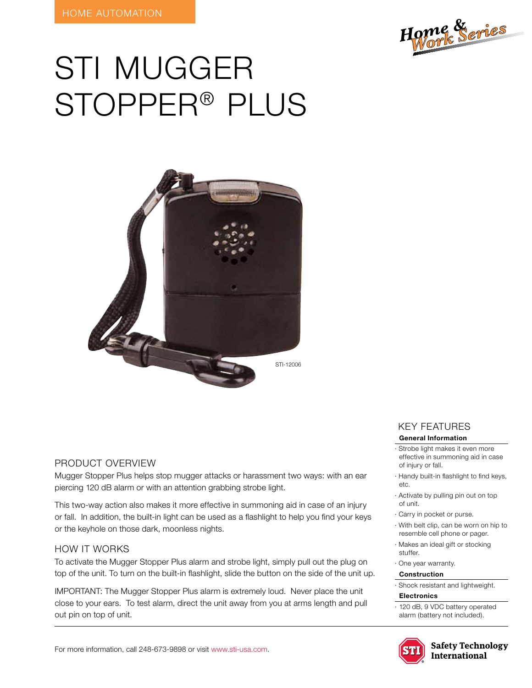

# STI mugger stopper® plus



## Product Overview

Mugger Stopper Plus helps stop mugger attacks or harassment two ways: with an ear piercing 120 dB alarm or with an attention grabbing strobe light.

This two-way action also makes it more effective in summoning aid in case of an injury or fall. In addition, the built-in light can be used as a flashlight to help you find your keys or the keyhole on those dark, moonless nights.

#### HOW IT WORKS

To activate the Mugger Stopper Plus alarm and strobe light, simply pull out the plug on top of the unit. To turn on the built-in flashlight, slide the button on the side of the unit up.

IMPORTANT: The Mugger Stopper Plus alarm is extremely loud. Never place the unit close to your ears. To test alarm, direct the unit away from you at arms length and pull out pin on top of unit.

# KEY features

#### **General Information**

- · Strobe light makes it even more effective in summoning aid in case of injury or fall.
- · Handy built-in flashlight to find keys, etc.
- · Activate by pulling pin out on top of unit.
- · Carry in pocket or purse.
- · With belt clip, can be worn on hip to resemble cell phone or pager.
- · Makes an ideal gift or stocking stuffer.
- · One year warranty.

## **Construction**

· Shock resistant and lightweight.

#### **Electronics**

· 120 dB, 9 VDC battery operated alarm (battery not included).



**Safety Technology International**